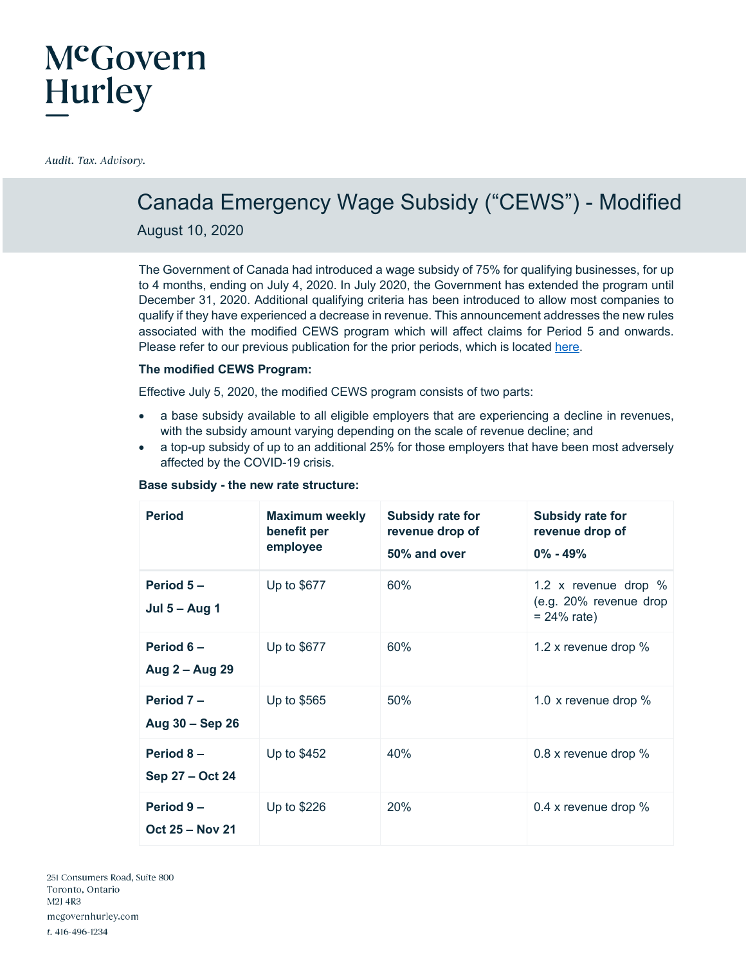### Canada Emergency Wage Subsidy ("CEWS") - Modified

August 10, 2020

The Government of Canada had introduced a wage subsidy of 75% for qualifying businesses, for up to 4 months, ending on July 4, 2020. In July 2020, the Government has extended the program until December 31, 2020. Additional qualifying criteria has been introduced to allow most companies to qualify if they have experienced a decrease in revenue. This announcement addresses the new rules associated with the modified CEWS program which will affect claims for Period 5 and onwards. Please refer to our previous publication for the prior periods, which is located here.

#### **The modified CEWS Program:**

Effective July 5, 2020, the modified CEWS program consists of two parts:

- a base subsidy available to all eligible employers that are experiencing a decline in revenues, with the subsidy amount varying depending on the scale of revenue decline; and
- a top-up subsidy of up to an additional 25% for those employers that have been most adversely affected by the COVID-19 crisis.

| <b>Period</b>                       | <b>Maximum weekly</b><br>benefit per<br>employee | Subsidy rate for<br>revenue drop of<br>50% and over | Subsidy rate for<br>revenue drop of<br>$0\% - 49\%$                |
|-------------------------------------|--------------------------------------------------|-----------------------------------------------------|--------------------------------------------------------------------|
| Period $5-$<br><b>Jul 5 - Aug 1</b> | Up to \$677                                      | 60%                                                 | 1.2 x revenue drop $%$<br>(e.g. 20% revenue drop<br>$= 24\%$ rate) |
| Period $6-$<br>Aug 2 - Aug 29       | Up to \$677                                      | 60%                                                 | 1.2 x revenue drop %                                               |
| Period 7-<br>Aug 30 - Sep 26        | Up to \$565                                      | 50%                                                 | 1.0 x revenue drop $%$                                             |
| Period 8-<br>Sep 27 - Oct 24        | Up to \$452                                      | 40%                                                 | 0.8 x revenue drop %                                               |
| Period 9-<br><b>Oct 25 – Nov 21</b> | Up to \$226                                      | 20%                                                 | 0.4 x revenue drop $%$                                             |

#### **Base subsidy - the new rate structure:**

251 Consumers Road, Suite 800 Toronto, Ontario M2J 4R3 mcgovernhurley.com t. 416-496-1234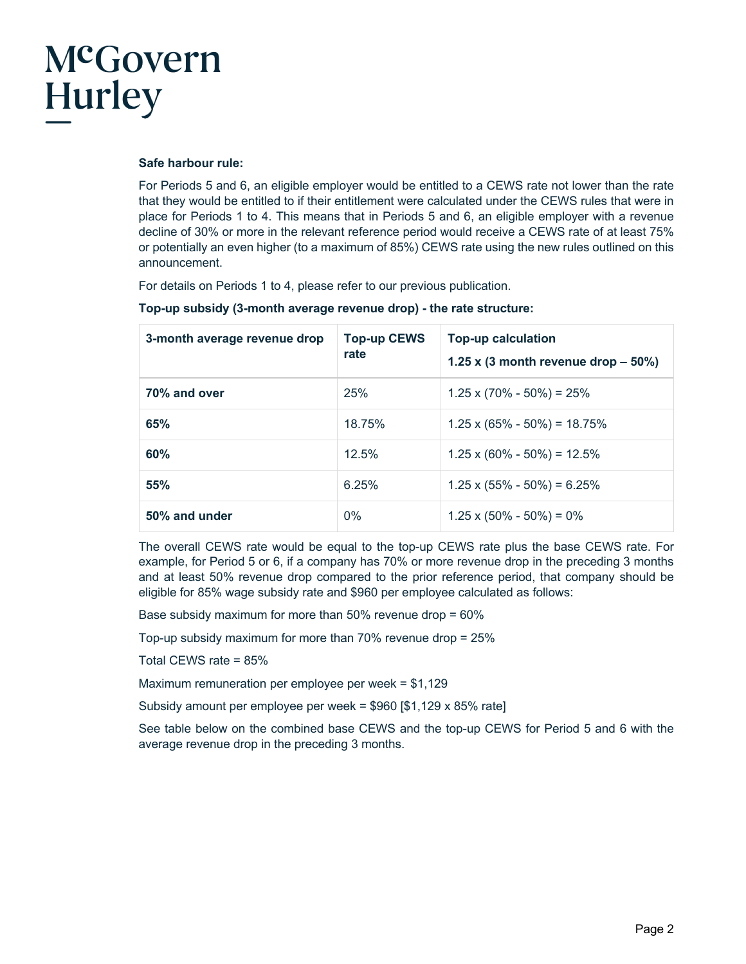#### **Safe harbour rule:**

For Periods 5 and 6, an eligible employer would be entitled to a CEWS rate not lower than the rate that they would be entitled to if their entitlement were calculated under the CEWS rules that were in place for Periods 1 to 4. This means that in Periods 5 and 6, an eligible employer with a revenue decline of 30% or more in the relevant reference period would receive a CEWS rate of at least 75% or potentially an even higher (to a maximum of 85%) CEWS rate using the new rules outlined on this announcement.

For details on Periods 1 to 4, please refer to our previous publication.

| 3-month average revenue drop | <b>Top-up CEWS</b><br>rate | <b>Top-up calculation</b><br>1.25 x (3 month revenue drop $-50\%$ ) |
|------------------------------|----------------------------|---------------------------------------------------------------------|
| 70% and over                 | 25%                        | $1.25 \times (70\% - 50\%) = 25\%$                                  |
| 65%                          | 18.75%                     | $1.25 \times (65\% - 50\%) = 18.75\%$                               |
| 60%                          | 12.5%                      | $1.25 \times (60\% - 50\%) = 12.5\%$                                |
| 55%                          | 6.25%                      | $1.25 \times (55\% - 50\%) = 6.25\%$                                |
| 50% and under                | 0%                         | $1.25 \times (50\% - 50\%) = 0\%$                                   |

**Top-up subsidy (3-month average revenue drop) - the rate structure:**

The overall CEWS rate would be equal to the top-up CEWS rate plus the base CEWS rate. For example, for Period 5 or 6, if a company has 70% or more revenue drop in the preceding 3 months and at least 50% revenue drop compared to the prior reference period, that company should be eligible for 85% wage subsidy rate and \$960 per employee calculated as follows:

Base subsidy maximum for more than 50% revenue drop = 60%

Top-up subsidy maximum for more than 70% revenue drop = 25%

Total CEWS rate = 85%

Maximum remuneration per employee per week = \$1,129

Subsidy amount per employee per week = \$960 [\$1,129 x 85% rate]

See table below on the combined base CEWS and the top-up CEWS for Period 5 and 6 with the average revenue drop in the preceding 3 months.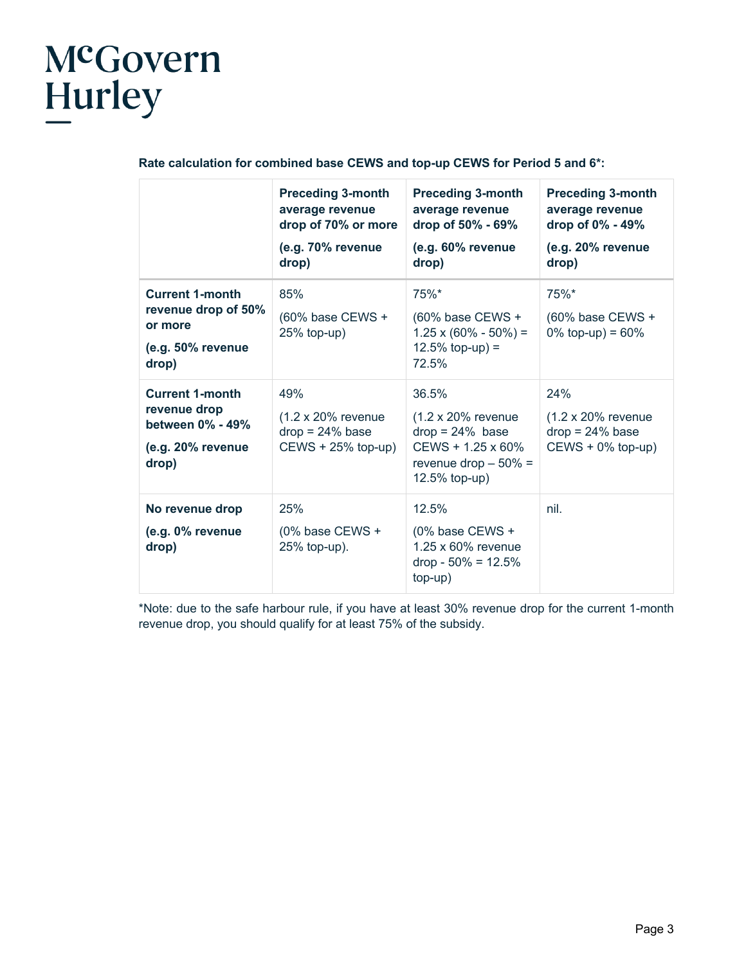#### **Rate calculation for combined base CEWS and top-up CEWS for Period 5 and 6\*:**

|                                                                                          | <b>Preceding 3-month</b><br>average revenue<br>drop of 70% or more<br>(e.g. 70% revenue<br>drop) | <b>Preceding 3-month</b><br>average revenue<br>drop of 50% - 69%<br>(e.g. 60% revenue<br>drop)                                    | <b>Preceding 3-month</b><br>average revenue<br>drop of 0% - 49%<br>(e.g. 20% revenue<br>drop) |
|------------------------------------------------------------------------------------------|--------------------------------------------------------------------------------------------------|-----------------------------------------------------------------------------------------------------------------------------------|-----------------------------------------------------------------------------------------------|
| <b>Current 1-month</b><br>revenue drop of 50%<br>or more<br>(e.g. 50% revenue<br>drop)   | 85%<br>(60% base CEWS +<br>$25%$ top-up)                                                         | 75%*<br>(60% base CEWS +<br>$1.25 \times (60\% - 50\%) =$<br>$12.5\%$ top-up) =<br>72.5%                                          | $75%$ *<br>(60% base CEWS +<br>0% top-up) = $60\%$                                            |
| <b>Current 1-month</b><br>revenue drop<br>between 0% - 49%<br>(e.g. 20% revenue<br>drop) | 49%<br>$(1.2 \times 20\%$ revenue<br>$drop = 24\%$ base<br>$CEWS + 25\%$ top-up)                 | 36.5%<br>$(1.2 \times 20\%$ revenue<br>$drop = 24\%$ base<br>$CEWS + 1.25 \times 60\%$<br>revenue drop $-50\% =$<br>12.5% top-up) | 24%<br>$(1.2 \times 20\%$ revenue<br>$drop = 24\%$ base<br>$CEWS + 0\%$ top-up)               |
| No revenue drop<br>(e.g. 0% revenue<br>drop)                                             | 25%<br>(0% base CEWS +<br>25% top-up).                                                           | 12.5%<br>(0% base CEWS +<br>1.25 x 60% revenue<br>$drop - 50\% = 12.5\%$<br>top-up)                                               | nil.                                                                                          |

\*Note: due to the safe harbour rule, if you have at least 30% revenue drop for the current 1-month revenue drop, you should qualify for at least 75% of the subsidy.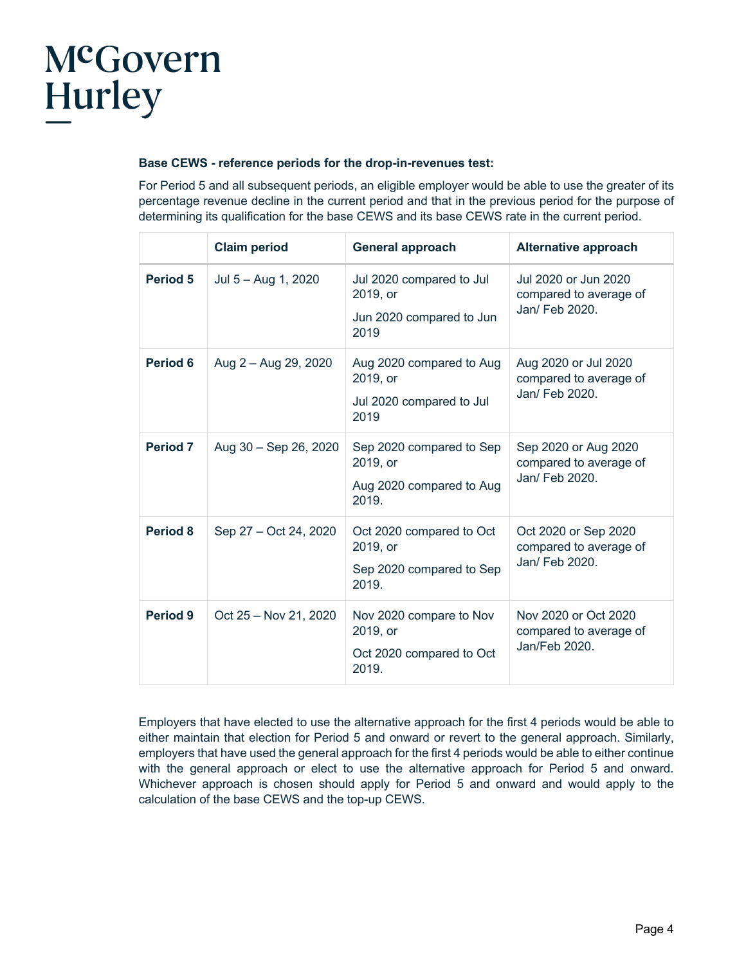#### **Base CEWS - reference periods for the drop-in-revenues test:**

For Period 5 and all subsequent periods, an eligible employer would be able to use the greater of its percentage revenue decline in the current period and that in the previous period for the purpose of determining its qualification for the base CEWS and its base CEWS rate in the current period.

|                 | <b>Claim period</b>   | <b>General approach</b>                                                   | <b>Alternative approach</b>                                      |
|-----------------|-----------------------|---------------------------------------------------------------------------|------------------------------------------------------------------|
| Period 5        | Jul 5 - Aug 1, 2020   | Jul 2020 compared to Jul<br>2019, or<br>Jun 2020 compared to Jun<br>2019  | Jul 2020 or Jun 2020<br>compared to average of<br>Jan/ Feb 2020. |
| Period 6        | Aug 2 - Aug 29, 2020  | Aug 2020 compared to Aug<br>2019, or<br>Jul 2020 compared to Jul<br>2019  | Aug 2020 or Jul 2020<br>compared to average of<br>Jan/ Feb 2020. |
| <b>Period 7</b> | Aug 30 - Sep 26, 2020 | Sep 2020 compared to Sep<br>2019, or<br>Aug 2020 compared to Aug<br>2019. | Sep 2020 or Aug 2020<br>compared to average of<br>Jan/ Feb 2020. |
| Period 8        | Sep 27 - Oct 24, 2020 | Oct 2020 compared to Oct<br>2019, or<br>Sep 2020 compared to Sep<br>2019. | Oct 2020 or Sep 2020<br>compared to average of<br>Jan/ Feb 2020. |
| Period 9        | Oct 25 - Nov 21, 2020 | Nov 2020 compare to Nov<br>2019, or<br>Oct 2020 compared to Oct<br>2019.  | Nov 2020 or Oct 2020<br>compared to average of<br>Jan/Feb 2020.  |

Employers that have elected to use the alternative approach for the first 4 periods would be able to either maintain that election for Period 5 and onward or revert to the general approach. Similarly, employers that have used the general approach for the first 4 periods would be able to either continue with the general approach or elect to use the alternative approach for Period 5 and onward. Whichever approach is chosen should apply for Period 5 and onward and would apply to the calculation of the base CEWS and the top-up CEWS.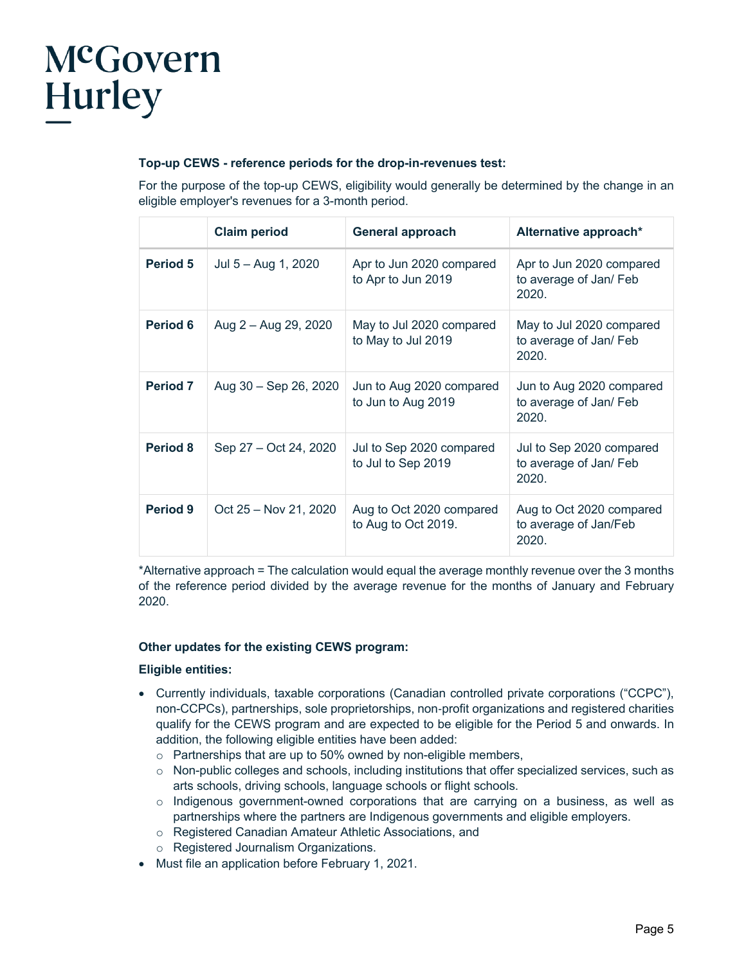#### **Top-up CEWS - reference periods for the drop-in-revenues test:**

For the purpose of the top-up CEWS, eligibility would generally be determined by the change in an eligible employer's revenues for a 3-month period.

|                 | <b>Claim period</b>   | <b>General approach</b>                         | Alternative approach*                                       |
|-----------------|-----------------------|-------------------------------------------------|-------------------------------------------------------------|
| <b>Period 5</b> | Jul $5 -$ Aug 1, 2020 | Apr to Jun 2020 compared<br>to Apr to Jun 2019  | Apr to Jun 2020 compared<br>to average of Jan/ Feb<br>2020. |
| Period 6        | Aug 2 - Aug 29, 2020  | May to Jul 2020 compared<br>to May to Jul 2019  | May to Jul 2020 compared<br>to average of Jan/ Feb<br>2020. |
| <b>Period 7</b> | Aug 30 – Sep 26, 2020 | Jun to Aug 2020 compared<br>to Jun to Aug 2019  | Jun to Aug 2020 compared<br>to average of Jan/ Feb<br>2020. |
| <b>Period 8</b> | Sep 27 – Oct 24, 2020 | Jul to Sep 2020 compared<br>to Jul to Sep 2019  | Jul to Sep 2020 compared<br>to average of Jan/ Feb<br>2020. |
| Period 9        | Oct 25 - Nov 21, 2020 | Aug to Oct 2020 compared<br>to Aug to Oct 2019. | Aug to Oct 2020 compared<br>to average of Jan/Feb<br>2020.  |

\*Alternative approach = The calculation would equal the average monthly revenue over the 3 months of the reference period divided by the average revenue for the months of January and February 2020.

#### **Other updates for the existing CEWS program:**

#### **Eligible entities:**

- Currently individuals, taxable corporations (Canadian controlled private corporations ("CCPC"), non-CCPCs), partnerships, sole proprietorships, non-profit organizations and registered charities qualify for the CEWS program and are expected to be eligible for the Period 5 and onwards. In addition, the following eligible entities have been added:
	- o Partnerships that are up to 50% owned by non-eligible members,
	- $\circ$  Non-public colleges and schools, including institutions that offer specialized services, such as arts schools, driving schools, language schools or flight schools.
	- $\circ$  Indigenous government-owned corporations that are carrying on a business, as well as partnerships where the partners are Indigenous governments and eligible employers.
	- o Registered Canadian Amateur Athletic Associations, and
	- o Registered Journalism Organizations.
- Must file an application before February 1, 2021.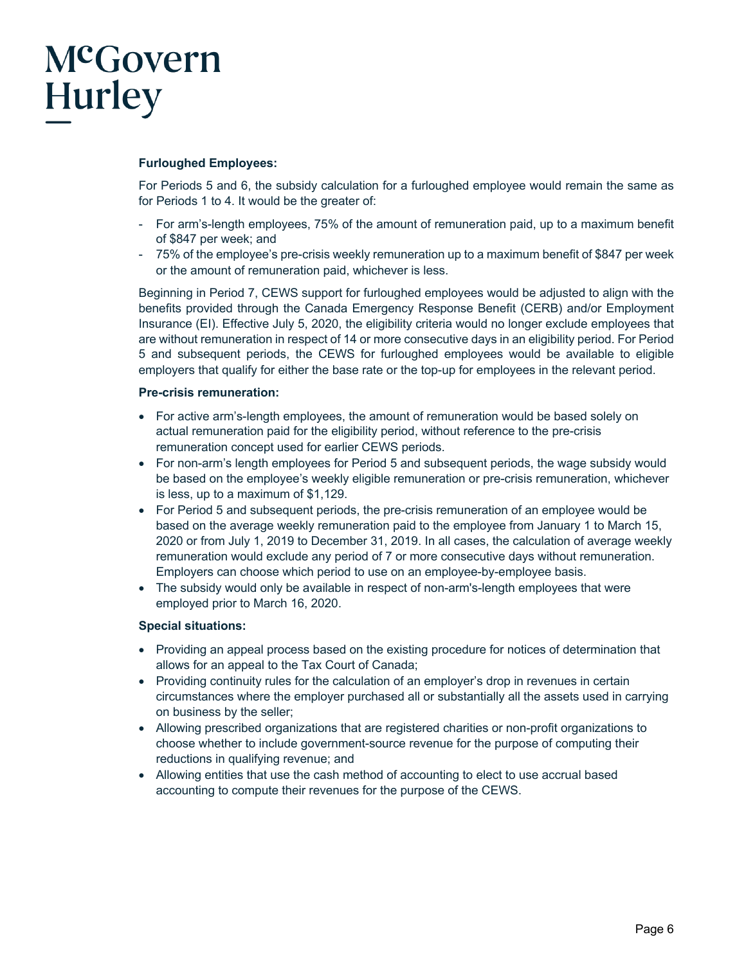#### **Furloughed Employees:**

For Periods 5 and 6, the subsidy calculation for a furloughed employee would remain the same as for Periods 1 to 4. It would be the greater of:

- For arm's-length employees, 75% of the amount of remuneration paid, up to a maximum benefit of \$847 per week; and
- 75% of the employee's pre-crisis weekly remuneration up to a maximum benefit of \$847 per week or the amount of remuneration paid, whichever is less.

Beginning in Period 7, CEWS support for furloughed employees would be adjusted to align with the benefits provided through the Canada Emergency Response Benefit (CERB) and/or Employment Insurance (EI). Effective July 5, 2020, the eligibility criteria would no longer exclude employees that are without remuneration in respect of 14 or more consecutive days in an eligibility period. For Period 5 and subsequent periods, the CEWS for furloughed employees would be available to eligible employers that qualify for either the base rate or the top-up for employees in the relevant period.

#### **Pre-crisis remuneration:**

- For active arm's-length employees, the amount of remuneration would be based solely on actual remuneration paid for the eligibility period, without reference to the pre-crisis remuneration concept used for earlier CEWS periods.
- For non-arm's length employees for Period 5 and subsequent periods, the wage subsidy would be based on the employee's weekly eligible remuneration or pre-crisis remuneration, whichever is less, up to a maximum of \$1,129.
- For Period 5 and subsequent periods, the pre-crisis remuneration of an employee would be based on the average weekly remuneration paid to the employee from January 1 to March 15, 2020 or from July 1, 2019 to December 31, 2019. In all cases, the calculation of average weekly remuneration would exclude any period of 7 or more consecutive days without remuneration. Employers can choose which period to use on an employee-by-employee basis.
- The subsidy would only be available in respect of non-arm's-length employees that were employed prior to March 16, 2020.

#### **Special situations:**

- Providing an appeal process based on the existing procedure for notices of determination that allows for an appeal to the Tax Court of Canada;
- Providing continuity rules for the calculation of an employer's drop in revenues in certain circumstances where the employer purchased all or substantially all the assets used in carrying on business by the seller;
- Allowing prescribed organizations that are registered charities or non-profit organizations to choose whether to include government-source revenue for the purpose of computing their reductions in qualifying revenue; and
- Allowing entities that use the cash method of accounting to elect to use accrual based accounting to compute their revenues for the purpose of the CEWS.